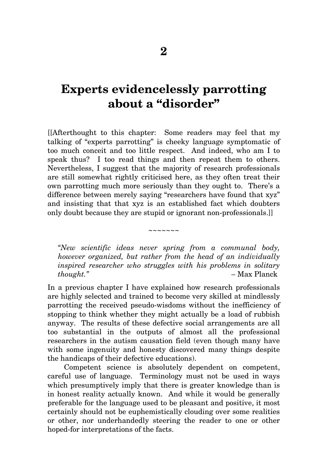## **Experts evidencelessly parrotting about a "disorder"**

[[Afterthought to this chapter: Some readers may feel that my talking of "experts parrotting" is cheeky language symptomatic of too much conceit and too little respect. And indeed, who am I to speak thus? I too read things and then repeat them to others. Nevertheless, I suggest that the majority of research professionals are still somewhat rightly criticised here, as they often treat their own parrotting much more seriously than they ought to. There's a difference between merely saying "researchers have found that xyz" and insisting that that xyz is an established fact which doubters only doubt because they are stupid or ignorant non-professionals.]]

*"New scientific ideas never spring from a communal body, however organized, but rather from the head of an individually inspired researcher who struggles with his problems in solitary thought."* – Max Planck

~~~~~~~

In a previous chapter I have explained how research professionals are highly selected and trained to become very skilled at mindlessly parrotting the received pseudo-wisdoms without the inefficiency of stopping to think whether they might actually be a load of rubbish anyway. The results of these defective social arrangements are all too substantial in the outputs of almost all the professional researchers in the autism causation field (even though many have with some ingenuity and honesty discovered many things despite the handicaps of their defective educations).

Competent science is absolutely dependent on competent, careful use of language. Terminology must not be used in ways which presumptively imply that there is greater knowledge than is in honest reality actually known. And while it would be generally preferable for the language used to be pleasant and positive, it most certainly should not be euphemistically clouding over some realities or other, nor underhandedly steering the reader to one or other hoped-for interpretations of the facts.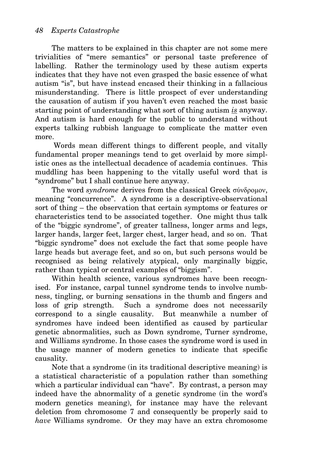The matters to be explained in this chapter are not some mere trivialities of "mere semantics" or personal taste preference of labelling. Rather the terminology used by these autism experts indicates that they have not even grasped the basic essence of what autism "is", but have instead encased their thinking in a fallacious misunderstanding. There is little prospect of ever understanding the causation of autism if you haven't even reached the most basic starting point of understanding what sort of thing autism *is* anyway. And autism is hard enough for the public to understand without experts talking rubbish language to complicate the matter even more.

 Words mean different things to different people, and vitally fundamental proper meanings tend to get overlaid by more simplistic ones as the intellectual decadence of academia continues. This muddling has been happening to the vitally useful word that is "syndrome" but I shall continue here anyway.

The word *syndrome* derives from the classical Greek σύνδρομον, meaning "concurrence". A syndrome is a descriptive-observational sort of thing – the observation that certain symptoms or features or characteristics tend to be associated together. One might thus talk of the "biggic syndrome", of greater tallness, longer arms and legs, larger hands, larger feet, larger chest, larger head, and so on. That "biggic syndrome" does not exclude the fact that some people have large heads but average feet, and so on, but such persons would be recognised as being relatively atypical, only marginally biggic, rather than typical or central examples of "biggism".

Within health science, various syndromes have been recognised. For instance, carpal tunnel syndrome tends to involve numbness, tingling, or burning sensations in the thumb and fingers and loss of grip strength. Such a syndrome does not necessarily correspond to a single causality. But meanwhile a number of syndromes have indeed been identified as caused by particular genetic abnormalities, such as Down syndrome, Turner syndrome, and Williams syndrome. In those cases the syndrome word is used in the usage manner of modern genetics to indicate that specific causality.

Note that a syndrome (in its traditional descriptive meaning) is a statistical characteristic of a population rather than something which a particular individual can "have". By contrast, a person may indeed have the abnormality of a genetic syndrome (in the word's modern genetics meaning), for instance may have the relevant deletion from chromosome 7 and consequently be properly said to *have* Williams syndrome. Or they may have an extra chromosome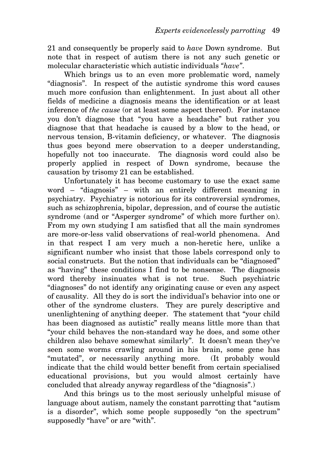21 and consequently be properly said to *have* Down syndrome. But note that in respect of autism there is not any such genetic or molecular characteristic which autistic individuals *"have"*.

Which brings us to an even more problematic word, namely "diagnosis". In respect of the autistic syndrome this word causes much more confusion than enlightenment. In just about all other fields of medicine a diagnosis means the identification or at least inference of *the cause* (or at least some aspect thereof). For instance you don't diagnose that "you have a headache" but rather you diagnose that that headache is caused by a blow to the head, or nervous tension, B-vitamin deficiency, or whatever. The diagnosis thus goes beyond mere observation to a deeper understanding, hopefully not too inaccurate. The diagnosis word could also be properly applied in respect of Down syndrome, because the causation by trisomy 21 can be established.

Unfortunately it has become customary to use the exact same word – "diagnosis" – with an entirely different meaning in psychiatry. Psychiatry is notorious for its controversial syndromes, such as schizophrenia, bipolar, depression, and of course the autistic syndrome (and or "Asperger syndrome" of which more further on). From my own studying I am satisfied that all the main syndromes are more-or-less valid observations of real-world phenomena. And in that respect I am very much a non-heretic here, unlike a significant number who insist that those labels correspond only to social constructs. But the notion that individuals can be "diagnosed" as "having" these conditions I find to be nonsense. The diagnosis word thereby insinuates what is not true. Such psychiatric "diagnoses" do not identify any originating cause or even any aspect of causality. All they do is sort the individual's behavior into one or other of the syndrome clusters. They are purely descriptive and unenlightening of anything deeper. The statement that "your child has been diagnosed as autistic" really means little more than that "your child behaves the non-standard way he does, and some other children also behave somewhat similarly". It doesn't mean they've seen some worms crawling around in his brain, some gene has "mutated", or necessarily anything more. (It probably would indicate that the child would better benefit from certain specialised educational provisions, but you would almost certainly have concluded that already anyway regardless of the "diagnosis".)

And this brings us to the most seriously unhelpful misuse of language about autism, namely the constant parrotting that "autism is a disorder", which some people supposedly "on the spectrum" supposedly "have" or are "with".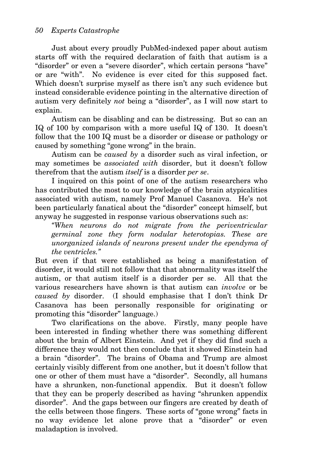Just about every proudly PubMed-indexed paper about autism starts off with the required declaration of faith that autism is a "disorder" or even a "severe disorder", which certain persons "have" or are "with". No evidence is ever cited for this supposed fact. Which doesn't surprise myself as there isn't any such evidence but instead considerable evidence pointing in the alternative direction of autism very definitely *not* being a "disorder", as I will now start to explain.

Autism can be disabling and can be distressing. But so can an IQ of 100 by comparison with a more useful IQ of 130. It doesn't follow that the 100 IQ must be a disorder or disease or pathology or caused by something "gone wrong" in the brain.

Autism can be *caused by* a disorder such as viral infection, or may sometimes be *associated with* disorder, but it doesn't follow therefrom that the autism *itself* is a disorder *per se*.

I inquired on this point of one of the autism researchers who has contributed the most to our knowledge of the brain atypicalities associated with autism, namely Prof Manuel Casanova. He's not been particularly fanatical about the "disorder" concept himself, but anyway he suggested in response various observations such as:

*"When neurons do not migrate from the periventricular germinal zone they form nodular heterotopias. These are unorganized islands of neurons present under the ependyma of the ventricles."* 

But even if that were established as being a manifestation of disorder, it would still not follow that that abnormality was itself the autism, or that autism itself is a disorder per se. All that the various researchers have shown is that autism can *involve* or be *caused by* disorder. (I should emphasise that I don't think Dr Casanova has been personally responsible for originating or promoting this "disorder" language.)

Two clarifications on the above. Firstly, many people have been interested in finding whether there was something different about the brain of Albert Einstein. And yet if they did find such a difference they would not then conclude that it showed Einstein had a brain "disorder". The brains of Obama and Trump are almost certainly visibly different from one another, but it doesn't follow that one or other of them must have a "disorder". Secondly, all humans have a shrunken, non-functional appendix. But it doesn't follow that they can be properly described as having "shrunken appendix disorder". And the gaps between our fingers are created by death of the cells between those fingers. These sorts of "gone wrong" facts in no way evidence let alone prove that a "disorder" or even maladaption is involved.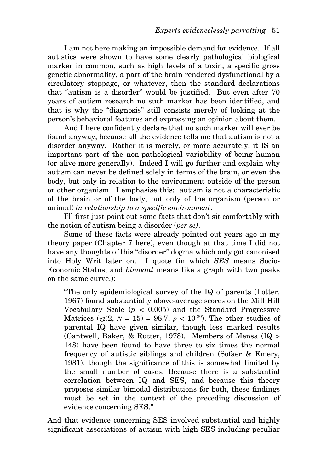I am not here making an impossible demand for evidence. If all autistics were shown to have some clearly pathological biological marker in common, such as high levels of a toxin, a specific gross genetic abnormality, a part of the brain rendered dysfunctional by a circulatory stoppage, or whatever, then the standard declarations that "autism is a disorder" would be justified. But even after 70 years of autism research no such marker has been identified, and that is why the "diagnosis" still consists merely of looking at the person's behavioral features and expressing an opinion about them.

And I here confidently declare that no such marker will ever be found anyway, because all the evidence tells me that autism is not a disorder anyway. Rather it is merely, or more accurately, it IS an important part of the non-pathological variability of being human (or alive more generally). Indeed I will go further and explain why autism can never be defined solely in terms of the brain, or even the body, but only in relation to the environment outside of the person or other organism. I emphasise this: autism is not a characteristic of the brain or of the body, but only of the organism (person or animal) *in relationship to a specific environment*.

I'll first just point out some facts that don't sit comfortably with the notion of autism being a disorder (*per se)*.

Some of these facts were already pointed out years ago in my theory paper (Chapter 7 here), even though at that time I did not have any thoughts of this "disorder" dogma which only got canonised into Holy Writ later on. I quote (in which *SES* means Socio-Economic Status, and *bimodal* means like a graph with two peaks on the same curve.):

"The only epidemiological survey of the IQ of parents (Lotter, 1967) found substantially above-average scores on the Mill Hill Vocabulary Scale  $(p < 0.005)$  and the Standard Progressive Matrices  $(\chi_2(2, N = 15) = 98.7, p < 10^{-20})$ . The other studies of parental IQ have given similar, though less marked results (Cantwell, Baker, & Rutter, 1978). Members of Mensa (IQ > 148) have been found to have three to six times the normal frequency of autistic siblings and children (Sofaer & Emery, 1981). though the significance of this is somewhat limited by the small number of cases. Because there is a substantial correlation between IQ and SES, and because this theory proposes similar bimodal distributions for both, these findings must be set in the context of the preceding discussion of evidence concerning SES."

And that evidence concerning SES involved substantial and highly significant associations of autism with high SES including peculiar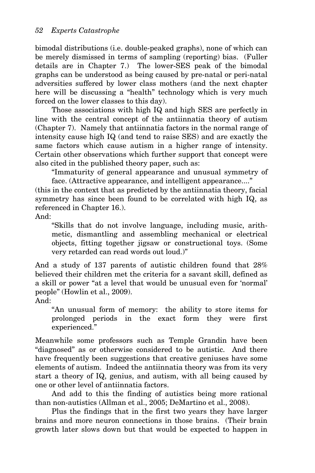bimodal distributions (i.e. double-peaked graphs), none of which can be merely dismissed in terms of sampling (reporting) bias. (Fuller details are in Chapter 7.) The lower-SES peak of the bimodal graphs can be understood as being caused by pre-natal or peri-natal adversities suffered by lower class mothers (and the next chapter here will be discussing a "health" technology which is very much forced on the lower classes to this day).

Those associations with high IQ and high SES are perfectly in line with the central concept of the antiinnatia theory of autism (Chapter 7). Namely that antiinnatia factors in the normal range of intensity cause high IQ (and tend to raise SES) and are exactly the same factors which cause autism in a higher range of intensity. Certain other observations which further support that concept were also cited in the published theory paper, such as:

"Immaturity of general appearance and unusual symmetry of face. (Attractive appearance, and intelligent appearance...."

(this in the context that as predicted by the antiinnatia theory, facial symmetry has since been found to be correlated with high IQ, as referenced in Chapter 16.).

And:

"Skills that do not involve language, including music, arithmetic, dismantling and assembling mechanical or electrical objects, fitting together jigsaw or constructional toys. (Some very retarded can read words out loud.)"

And a study of 137 parents of autistic children found that 28% believed their children met the criteria for a savant skill, defined as a skill or power "at a level that would be unusual even for 'normal' people" (Howlin et al., 2009).

And:

"An unusual form of memory: the ability to store items for prolonged periods in the exact form they were first experienced."

Meanwhile some professors such as Temple Grandin have been "diagnosed" as or otherwise considered to be autistic. And there have frequently been suggestions that creative geniuses have some elements of autism. Indeed the antiinnatia theory was from its very start a theory of IQ, genius, and autism, with all being caused by one or other level of antiinnatia factors.

And add to this the finding of autistics being more rational than non-autistics (Allman et al., 2005; DeMartino et al., 2008).

Plus the findings that in the first two years they have larger brains and more neuron connections in those brains. (Their brain growth later slows down but that would be expected to happen in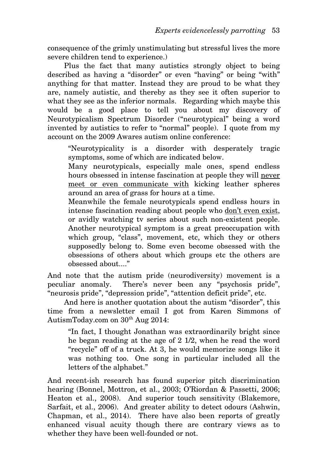consequence of the grimly unstimulating but stressful lives the more severe children tend to experience.)

Plus the fact that many autistics strongly object to being described as having a "disorder" or even "having" or being "with" anything for that matter. Instead they are proud to be what they are, namely autistic, and thereby as they see it often superior to what they see as the inferior normals. Regarding which maybe this would be a good place to tell you about my discovery of Neurotypicalism Spectrum Disorder ("neurotypical" being a word invented by autistics to refer to "normal" people). I quote from my account on the 2009 Awares autism online conference:

"Neurotypicality is a disorder with desperately tragic symptoms, some of which are indicated below.

Many neurotypicals, especially male ones, spend endless hours obsessed in intense fascination at people they will never meet or even communicate with kicking leather spheres around an area of grass for hours at a time.

Meanwhile the female neurotypicals spend endless hours in intense fascination reading about people who don't even exist, or avidly watching tv series about such non-existent people. Another neurotypical symptom is a great preoccupation with which group, "class", movement, etc, which they or others supposedly belong to. Some even become obsessed with the obsessions of others about which groups etc the others are obsessed about...."

And note that the autism pride (neurodiversity) movement is a peculiar anomaly. There's never been any "psychosis pride", "neurosis pride", "depression pride", "attention deficit pride", etc.

And here is another quotation about the autism "disorder", this time from a newsletter email I got from Karen Simmons of AutismToday.com on  $30<sup>th</sup>$  Aug 2014:

"In fact, I thought Jonathan was extraordinarily bright since he began reading at the age of 2 1/2, when he read the word "recycle" off of a truck. At 3, he would memorize songs like it was nothing too. One song in particular included all the letters of the alphabet."

And recent-ish research has found superior pitch discrimination hearing (Bonnel, Mottron, et al., 2003; O'Riordan & Passetti, 2006; Heaton et al., 2008). And superior touch sensitivity (Blakemore, Sarfait, et al., 2006). And greater ability to detect odours (Ashwin, Chapman, et al., 2014). There have also been reports of greatly enhanced visual acuity though there are contrary views as to whether they have been well-founded or not.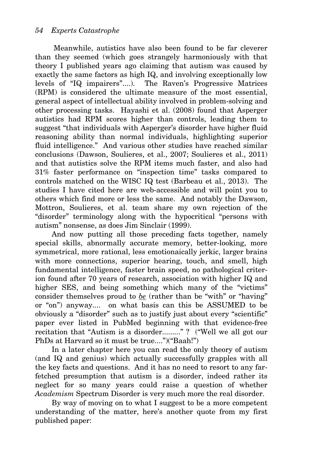Meanwhile, autistics have also been found to be far cleverer than they seemed (which goes strangely harmoniously with that theory I published years ago claiming that autism was caused by exactly the same factors as high IQ, and involving exceptionally low levels of "IQ impairers"....). The Raven's Progressive Matrices (RPM) is considered the ultimate measure of the most essential, general aspect of intellectual ability involved in problem-solving and other processing tasks. Hayashi et al. (2008) found that Asperger autistics had RPM scores higher than controls, leading them to suggest "that individuals with Asperger's disorder have higher fluid reasoning ability than normal individuals, highlighting superior fluid intelligence." And various other studies have reached similar conclusions (Dawson, Soulieres, et al., 2007; Soulieres et al., 2011) and that autistics solve the RPM items much faster, and also had 31% faster performance on "inspection time" tasks compared to controls matched on the WISC IQ test (Barbeau et al., 2013). The studies I have cited here are web-accessible and will point you to others which find more or less the same. And notably the Dawson, Mottron, Soulieres, et al. team share my own rejection of the "disorder" terminology along with the hypocritical "persons with autism" nonsense, as does Jim Sinclair (1999).

And now putting all those preceding facts together, namely special skills, abnormally accurate memory, better-looking, more symmetrical, more rational, less emotionaically jerkic, larger brains with more connections, superior hearing, touch, and smell, high fundamental intelligence, faster brain speed, no pathological criterion found after 70 years of research, association with higher IQ and higher SES, and being something which many of the "victims" consider themselves proud to *be* (rather than be "with" or "having" or "on") anyway.... on what basis can this be ASSUMED to be obviously a "disorder" such as to justify just about every "scientific" paper ever listed in PubMed beginning with that evidence-free recitation that "Autism is a disorder........." ? ("Well we all got our PhDs at Harvard so it must be true....")("Baah!")

In a later chapter here you can read the only theory of autism (and IQ and genius) which actually successfully grapples with all the key facts and questions. And it has no need to resort to any farfetched presumption that autism is a disorder, indeed rather its neglect for so many years could raise a question of whether *Academism* Spectrum Disorder is very much more the real disorder.

By way of moving on to what I suggest to be a more competent understanding of the matter, here's another quote from my first published paper: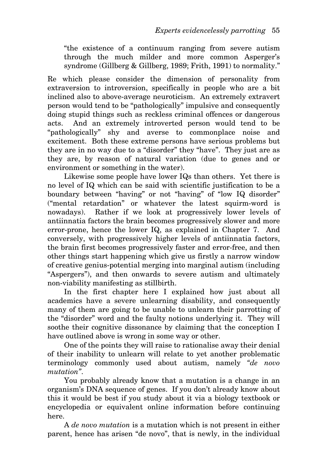"the existence of a continuum ranging from severe autism through the much milder and more common Asperger's syndrome (Gillberg & Gillberg, 1989; Frith, 1991) to normality."

Re which please consider the dimension of personality from extraversion to introversion, specifically in people who are a bit inclined also to above-average neuroticism. An extremely extravert person would tend to be "pathologically" impulsive and consequently doing stupid things such as reckless criminal offences or dangerous acts. And an extremely introverted person would tend to be "pathologically" shy and averse to commonplace noise and excitement. Both these extreme persons have serious problems but they are in no way due to a "disorder" they "have". They just are as they are, by reason of natural variation (due to genes and or environment or something in the water).

Likewise some people have lower IQs than others. Yet there is no level of IQ which can be said with scientific justification to be a boundary between "having" or not "having" of "low IQ disorder" ("mental retardation" or whatever the latest squirm-word is nowadays). Rather if we look at progressively lower levels of antiinnatia factors the brain becomes progressively slower and more error-prone, hence the lower IQ, as explained in Chapter 7. And conversely, with progressively higher levels of antiinnatia factors, the brain first becomes progressively faster and error-free, and then other things start happening which give us firstly a narrow window of creative genius-potential merging into marginal autism (including "Aspergers"), and then onwards to severe autism and ultimately non-viability manifesting as stillbirth.

In the first chapter here I explained how just about all academics have a severe unlearning disability, and consequently many of them are going to be unable to unlearn their parrotting of the "disorder" word and the faulty notions underlying it. They will soothe their cognitive dissonance by claiming that the conception I have outlined above is wrong in some way or other.

One of the points they will raise to rationalise away their denial of their inability to unlearn will relate to yet another problematic terminology commonly used about autism, namely *"de novo mutation"*.

You probably already know that a mutation is a change in an organism's DNA sequence of genes. If you don't already know about this it would be best if you study about it via a biology textbook or encyclopedia or equivalent online information before continuing here.

A *de novo mutation* is a mutation which is not present in either parent, hence has arisen "de novo", that is newly, in the individual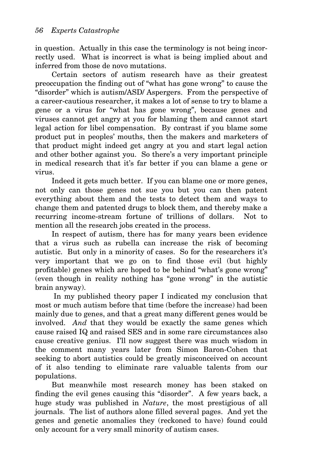in question. Actually in this case the terminology is not being incorrectly used. What is incorrect is what is being implied about and inferred from those de novo mutations.

Certain sectors of autism research have as their greatest preoccupation the finding out of "what has gone wrong" to cause the "disorder" which is autism/ASD/ Aspergers. From the perspective of a career-cautious researcher, it makes a lot of sense to try to blame a gene or a virus for "what has gone wrong", because genes and viruses cannot get angry at you for blaming them and cannot start legal action for libel compensation. By contrast if you blame some product put in peoples' mouths, then the makers and marketers of that product might indeed get angry at you and start legal action and other bother against you. So there's a very important principle in medical research that it's far better if you can blame a gene or virus.

Indeed it gets much better. If you can blame one or more genes, not only can those genes not sue you but you can then patent everything about them and the tests to detect them and ways to change them and patented drugs to block them, and thereby make a recurring income-stream fortune of trillions of dollars. Not to mention all the research jobs created in the process.

In respect of autism, there has for many years been evidence that a virus such as rubella can increase the risk of becoming autistic. But only in a minority of cases. So for the researchers it's very important that we go on to find those evil (but highly profitable) genes which are hoped to be behind "what's gone wrong" (even though in reality nothing has "gone wrong" in the autistic brain anyway).

 In my published theory paper I indicated my conclusion that most or much autism before that time (before the increase) had been mainly due to genes, and that a great many different genes would be involved. *And* that they would be exactly the same genes which cause raised IQ and raised SES and in some rare circumstances also cause creative genius. I'll now suggest there was much wisdom in the comment many years later from Simon Baron-Cohen that seeking to abort autistics could be greatly misconceived on account of it also tending to eliminate rare valuable talents from our populations.

But meanwhile most research money has been staked on finding the evil genes causing this "disorder". A few years back, a huge study was published in *Nature*, the most prestigious of all journals. The list of authors alone filled several pages. And yet the genes and genetic anomalies they (reckoned to have) found could only account for a very small minority of autism cases.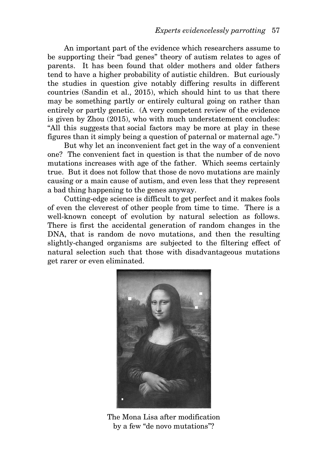An important part of the evidence which researchers assume to be supporting their "bad genes" theory of autism relates to ages of parents. It has been found that older mothers and older fathers tend to have a higher probability of autistic children. But curiously the studies in question give notably differing results in different countries (Sandin et al., 2015), which should hint to us that there may be something partly or entirely cultural going on rather than entirely or partly genetic. (A very competent review of the evidence is given by Zhou (2015), who with much understatement concludes: "All this suggests that social factors may be more at play in these figures than it simply being a question of paternal or maternal age.")

But why let an inconvenient fact get in the way of a convenient one? The convenient fact in question is that the number of de novo mutations increases with age of the father. Which seems certainly true. But it does not follow that those de novo mutations are mainly causing or a main cause of autism, and even less that they represent a bad thing happening to the genes anyway.

Cutting-edge science is difficult to get perfect and it makes fools of even the cleverest of other people from time to time. There is a well-known concept of evolution by natural selection as follows. There is first the accidental generation of random changes in the DNA, that is random de novo mutations, and then the resulting slightly-changed organisms are subjected to the filtering effect of natural selection such that those with disadvantageous mutations get rarer or even eliminated.



The Mona Lisa after modification by a few "de novo mutations"?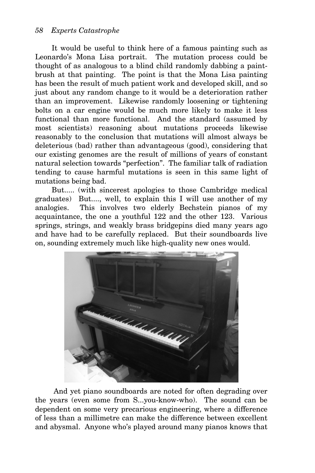It would be useful to think here of a famous painting such as Leonardo's Mona Lisa portrait. The mutation process could be thought of as analogous to a blind child randomly dabbing a paintbrush at that painting. The point is that the Mona Lisa painting has been the result of much patient work and developed skill, and so just about any random change to it would be a deterioration rather than an improvement. Likewise randomly loosening or tightening bolts on a car engine would be much more likely to make it less functional than more functional. And the standard (assumed by most scientists) reasoning about mutations proceeds likewise reasonably to the conclusion that mutations will almost always be deleterious (bad) rather than advantageous (good), considering that our existing genomes are the result of millions of years of constant natural selection towards "perfection". The familiar talk of radiation tending to cause harmful mutations is seen in this same light of mutations being bad.

But..... (with sincerest apologies to those Cambridge medical graduates) But...., well, to explain this I will use another of my analogies. This involves two elderly Bechstein pianos of my acquaintance, the one a youthful 122 and the other 123. Various springs, strings, and weakly brass bridgepins died many years ago and have had to be carefully replaced. But their soundboards live on, sounding extremely much like high-quality new ones would.



 And yet piano soundboards are noted for often degrading over the years (even some from S...you-know-who). The sound can be dependent on some very precarious engineering, where a difference of less than a millimetre can make the difference between excellent and abysmal. Anyone who's played around many pianos knows that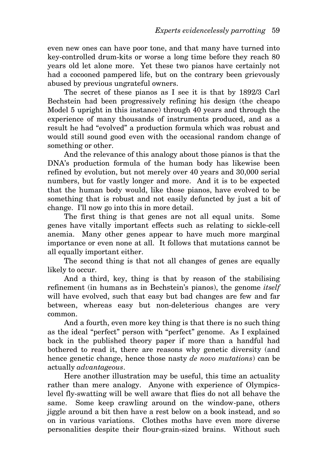even new ones can have poor tone, and that many have turned into key-controlled drum-kits or worse a long time before they reach 80 years old let alone more. Yet these two pianos have certainly not had a cocooned pampered life, but on the contrary been grievously abused by previous ungrateful owners.

The secret of these pianos as I see it is that by 1892/3 Carl Bechstein had been progressively refining his design (the cheapo Model 5 upright in this instance) through 40 years and through the experience of many thousands of instruments produced, and as a result he had "evolved" a production formula which was robust and would still sound good even with the occasional random change of something or other.

And the relevance of this analogy about those pianos is that the DNA's production formula of the human body has likewise been refined by evolution, but not merely over 40 years and 30,000 serial numbers, but for vastly longer and more. And it is to be expected that the human body would, like those pianos, have evolved to be something that is robust and not easily defuncted by just a bit of change. I'll now go into this in more detail.

The first thing is that genes are not all equal units. Some genes have vitally important effects such as relating to sickle-cell anemia. Many other genes appear to have much more marginal importance or even none at all. It follows that mutations cannot be all equally important either.

The second thing is that not all changes of genes are equally likely to occur.

And a third, key, thing is that by reason of the stabilising refinement (in humans as in Bechstein's pianos), the genome *itself* will have evolved, such that easy but bad changes are few and far between, whereas easy but non-deleterious changes are very common.

And a fourth, even more key thing is that there is no such thing as the ideal "perfect" person with "perfect" genome. As I explained back in the published theory paper if more than a handful had bothered to read it, there are reasons why genetic diversity (and hence genetic change, hence those nasty *de novo mutations*) can be actually *advantageous*.

Here another illustration may be useful, this time an actuality rather than mere analogy. Anyone with experience of Olympicslevel fly-swatting will be well aware that flies do not all behave the same. Some keep crawling around on the window-pane, others jiggle around a bit then have a rest below on a book instead, and so on in various variations. Clothes moths have even more diverse personalities despite their flour-grain-sized brains. Without such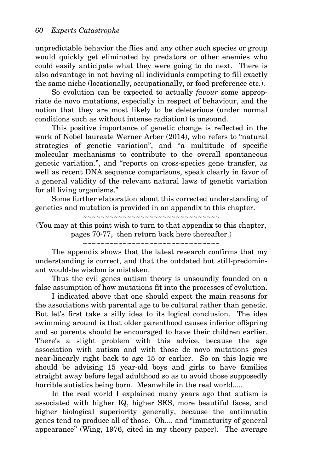unpredictable behavior the flies and any other such species or group would quickly get eliminated by predators or other enemies who could easily anticipate what they were going to do next. There is also advantage in not having all individuals competing to fill exactly the same niche (locationally, occupationally, or food preference etc.).

So evolution can be expected to actually *favour* some appropriate de novo mutations, especially in respect of behaviour, and the notion that they are most likely to be deleterious (under normal conditions such as without intense radiation) is unsound.

This positive importance of genetic change is reflected in the work of Nobel laureate Werner Arber (2014), who refers to "natural strategies of genetic variation", and "a multitude of specific molecular mechanisms to contribute to the overall spontaneous genetic variation.", and "reports on cross-species gene transfer, as well as recent DNA sequence comparisons, speak clearly in favor of a general validity of the relevant natural laws of genetic variation for all living organisms."

Some further elaboration about this corrected understanding of genetics and mutation is provided in an appendix to this chapter.

~~~~~~~~~~~~~~~~~~~~~~~~~~~~~~~

(You may at this point wish to turn to that appendix to this chapter, pages 70-77, then return back here thereafter.)

~~~~~~~~~~~~~~~~~~~~~~~~~~~~~~~

The appendix shows that the latest research confirms that my understanding is correct, and that the outdated but still-predominant would-be wisdom is mistaken.

Thus the evil genes autism theory is unsoundly founded on a false assumption of how mutations fit into the processes of evolution.

I indicated above that one should expect the main reasons for the associations with parental age to be cultural rather than genetic. But let's first take a silly idea to its logical conclusion. The idea swimming around is that older parenthood causes inferior offspring and so parents should be encouraged to have their children earlier. There's a slight problem with this advice, because the age association with autism and with those de novo mutations goes near-linearly right back to age 15 or earlier. So on this logic we should be advising 15 year-old boys and girls to have families straight away before legal adulthood so as to avoid those supposedly horrible autistics being born. Meanwhile in the real world.....

In the real world I explained many years ago that autism is associated with higher IQ, higher SES, more beautiful faces, and higher biological superiority generally, because the antiinnatia genes tend to produce all of those. Oh.... and "immaturity of general appearance" (Wing, 1976, cited in my theory paper). The average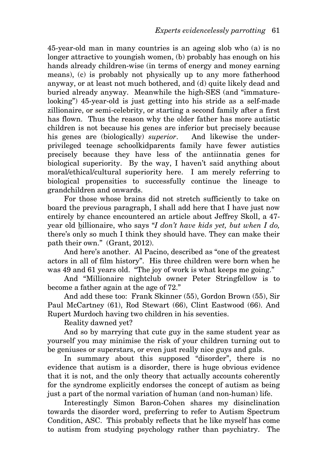45-year-old man in many countries is an ageing slob who (a) is no longer attractive to youngish women, (b) probably has enough on his hands already children-wise (in terms of energy and money earning means), (c) is probably not physically up to any more fatherhood anyway, or at least not much bothered, and (d) quite likely dead and buried already anyway. Meanwhile the high-SES (and "immaturelooking") 45-year-old is just getting into his stride as a self-made zillionaire, or semi-celebrity, or starting a second family after a first has flown. Thus the reason why the older father has more autistic children is not because his genes are inferior but precisely because his genes are (biologically) *superior*. And likewise the underprivileged teenage schoolkidparents family have fewer autistics precisely because they have less of the antiinnatia genes for biological superiority. By the way, I haven't said anything about moral/ethical/cultural superiority here. I am merely referring to biological propensities to successfully continue the lineage to grandchildren and onwards.

For those whose brains did not stretch sufficiently to take on board the previous paragraph, I shall add here that I have just now entirely by chance encountered an article about Jeffrey Skoll, a 47 year old billionaire, who says "*I don't have kids yet, but when I do,* there's only so much I think they should have. They can make their path their own." (Grant, 2012).

And here's another. Al Pacino, described as "one of the greatest actors in all of film history". His three children were born when he was 49 and 61 years old. "The joy of work is what keeps me going."

And "Millionaire nightclub owner Peter Stringfellow is to become a father again at the age of 72."

And add these too: Frank Skinner (55), Gordon Brown (55), Sir Paul McCartney (61), Rod Stewart (66), Clint Eastwood (66). And Rupert Murdoch having two children in his seventies.

Reality dawned yet?

And so by marrying that cute guy in the same student year as yourself you may minimise the risk of your children turning out to be geniuses or superstars, or even just really nice guys and gals.

In summary about this supposed "disorder", there is no evidence that autism is a disorder, there is huge obvious evidence that it is not, and the only theory that actually accounts coherently for the syndrome explicitly endorses the concept of autism as being just a part of the normal variation of human (and non-human) life.

Interestingly Simon Baron-Cohen shares my disinclination towards the disorder word, preferring to refer to Autism Spectrum Condition, ASC. This probably reflects that he like myself has come to autism from studying psychology rather than psychiatry. The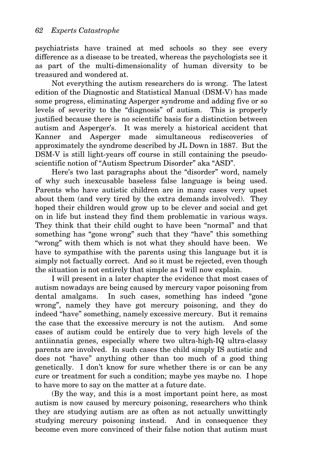psychiatrists have trained at med schools so they see every difference as a disease to be treated, whereas the psychologists see it as part of the multi-dimensionality of human diversity to be treasured and wondered at.

Not everything the autism researchers do is wrong. The latest edition of the Diagnostic and Statistical Manual (DSM-V) has made some progress, eliminating Asperger syndrome and adding five or so levels of severity to the "diagnosis" of autism. This is properly justified because there is no scientific basis for a distinction between autism and Asperger's. It was merely a historical accident that Kanner and Asperger made simultaneous rediscoveries of approximately the syndrome described by JL Down in 1887. But the DSM-V is still light-years off course in still containing the pseudoscientific notion of "Autism Spectrum Disorder" aka "ASD".

Here's two last paragraphs about the "disorder" word, namely of why such inexcusable baseless false language is being used. Parents who have autistic children are in many cases very upset about them (and very tired by the extra demands involved). They hoped their children would grow up to be clever and social and get on in life but instead they find them problematic in various ways. They think that their child ought to have been "normal" and that something has "gone wrong" such that they "have" this something "wrong" with them which is not what they should have been. We have to sympathise with the parents using this language but it is simply not factually correct. And so it must be rejected, even though the situation is not entirely that simple as I will now explain.

I will present in a later chapter the evidence that most cases of autism nowadays are being caused by mercury vapor poisoning from dental amalgams. In such cases, something has indeed "gone wrong", namely they have got mercury poisoning, and they do indeed "have" something, namely excessive mercury. But it remains the case that the excessive mercury is not the autism. And some cases of autism could be entirely due to very high levels of the antiinnatia genes, especially where two ultra-high-IQ ultra-classy parents are involved. In such cases the child simply IS autistic and does not "have" anything other than too much of a good thing genetically. I don't know for sure whether there is or can be any cure or treatment for such a condition; maybe yes maybe no. I hope to have more to say on the matter at a future date.

(By the way, and this is a most important point here, as most autism is now caused by mercury poisoning, researchers who think they are studying autism are as often as not actually unwittingly studying mercury poisoning instead. And in consequence they become even more convinced of their false notion that autism must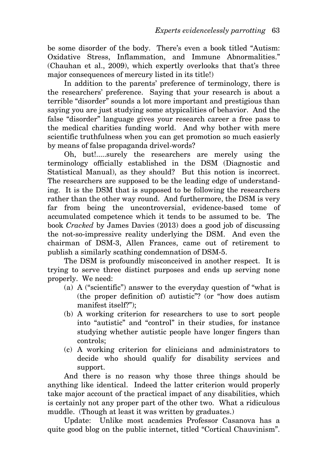be some disorder of the body. There's even a book titled "Autism: Oxidative Stress, Inflammation, and Immune Abnormalities." (Chauhan et al., 2009), which expertly overlooks that that's three major consequences of mercury listed in its title!)

In addition to the parents' preference of terminology, there is the researchers' preference. Saying that your research is about a terrible "disorder" sounds a lot more important and prestigious than saying you are just studying some atypicalities of behavior. And the false "disorder" language gives your research career a free pass to the medical charities funding world. And why bother with mere scientific truthfulness when you can get promotion so much easierly by means of false propaganda drivel-words?

Oh, but!.....surely the researchers are merely using the terminology officially established in the DSM (Diagnostic and Statistical Manual), as they should? But this notion is incorrect. The researchers are supposed to be the leading edge of understanding. It is the DSM that is supposed to be following the researchers rather than the other way round. And furthermore, the DSM is very far from being the uncontroversial, evidence-based tome of accumulated competence which it tends to be assumed to be. The book *Cracked* by James Davies (2013) does a good job of discussing the not-so-impressive reality underlying the DSM. And even the chairman of DSM-3, Allen Frances, came out of retirement to publish a similarly scathing condemnation of DSM-5.

The DSM is profoundly misconceived in another respect. It is trying to serve three distinct purposes and ends up serving none properly. We need:

- (a) A ("scientific") answer to the everyday question of "what is (the proper definition of) autistic"? (or "how does autism manifest itself?");
- (b) A working criterion for researchers to use to sort people into "autistic" and "control" in their studies, for instance studying whether autistic people have longer fingers than controls;
- (c) A working criterion for clinicians and administrators to decide who should qualify for disability services and support.

And there is no reason why those three things should be anything like identical. Indeed the latter criterion would properly take major account of the practical impact of any disabilities, which is certainly not any proper part of the other two. What a ridiculous muddle. (Though at least it was written by graduates.)

Update: Unlike most academics Professor Casanova has a quite good blog on the public internet, titled "Cortical Chauvinism".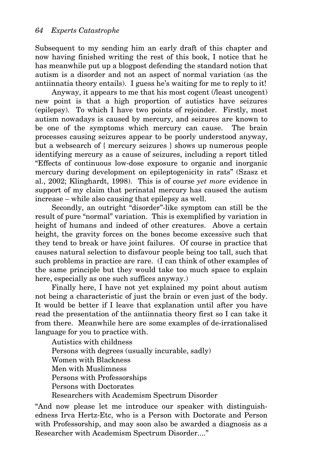Subsequent to my sending him an early draft of this chapter and now having finished writing the rest of this book, I notice that he has meanwhile put up a blogpost defending the standard notion that autism is a disorder and not an aspect of normal variation (as the antiinnatia theory entails). I guess he's waiting for me to reply to it!

Anyway, it appears to me that his most cogent (/least uncogent) new point is that a high proportion of autistics have seizures (epilepsy). To which I have two points of rejoinder. Firstly, most autism nowadays is caused by mercury, and seizures are known to be one of the symptoms which mercury can cause. The brain processes causing seizures appear to be poorly understood anyway, but a websearch of { mercury seizures } shows up numerous people identifying mercury as a cause of seizures, including a report titled "Effects of continuous low-dose exposure to organic and inorganic mercury during development on epileptogenicity in rats" (Szasz et al., 2002; Klinghardt, 1998). This is of course *yet more* evidence in support of my claim that perinatal mercury has caused the autism increase – while also causing that epilepsy as well.

Secondly, an outright "disorder"-like symptom can still be the result of pure "normal" variation. This is exemplified by variation in height of humans and indeed of other creatures. Above a certain height, the gravity forces on the bones become excessive such that they tend to break or have joint failures. Of course in practice that causes natural selection to disfavour people being too tall, such that such problems in practice are rare. (I can think of other examples of the same principle but they would take too much space to explain here, especially as one such suffices anyway.)

Finally here, I have not yet explained my point about autism not being a characteristic of just the brain or even just of the body. It would be better if I leave that explanation until after you have read the presentation of the antiinnatia theory first so I can take it from there. Meanwhile here are some examples of de-irrationalised language for you to practice with.

Autistics with childness Persons with degrees (usually incurable, sadly) Women with Blackness Men with Muslimness Persons with Professorships Persons with Doctorates Researchers with Academism Spectrum Disorder

"And now please let me introduce our speaker with distinguishedness Irva Hertz-Etc, who is a Person with Doctorate and Person with Professorship, and may soon also be awarded a diagnosis as a Researcher with Academism Spectrum Disorder...."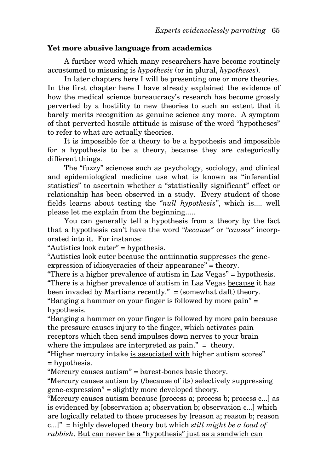## **Yet more abusive language from academics**

A further word which many researchers have become routinely accustomed to misusing is *hypothesis* (or in plural, *hypotheses*).

In later chapters here I will be presenting one or more theories. In the first chapter here I have already explained the evidence of how the medical science bureaucracy's research has become grossly perverted by a hostility to new theories to such an extent that it barely merits recognition as genuine science any more. A symptom of that perverted hostile attitude is misuse of the word "hypotheses" to refer to what are actually theories.

It is impossible for a theory to be a hypothesis and impossible for a hypothesis to be a theory, because they are categorically different things.

The "fuzzy" sciences such as psychology, sociology, and clinical and epidemiological medicine use what is known as "inferential statistics" to ascertain whether a "statistically significant" effect or relationship has been observed in a study. Every student of those fields learns about testing the *"null hypothesis"*, which is.... well please let me explain from the beginning.....

You can generally tell a hypothesis from a theory by the fact that a hypothesis can't have the word *"because"* or *"causes"* incorporated into it. For instance:

"Autistics look cuter" = hypothesis.

"Autistics look cuter because the antiinnatia suppresses the geneexpression of idiosycracies of their appearance" = theory.

"There is a higher prevalence of autism in Las Vegas" = hypothesis. "There is a higher prevalence of autism in Las Vegas because it has been invaded by Martians recently." = (somewhat daft) theory. "Banging a hammer on your finger is followed by more pain" = hypothesis.

"Banging a hammer on your finger is followed by more pain because the pressure causes injury to the finger, which activates pain receptors which then send impulses down nerves to your brain where the impulses are interpreted as pain." = theory.

"Higher mercury intake is associated with higher autism scores" = hypothesis.

"Mercury causes autism" = barest-bones basic theory.

"Mercury causes autism by (/because of its) selectively suppressing gene-expression" = slightly more developed theory.

"Mercury causes autism because [process a; process b; process c...] as is evidenced by [observation a; observation b; observation c...] which are logically related to those processes by [reason a; reason b; reason c...]" = highly developed theory but which *still might be a load of rubbish*. But can never be a "hypothesis" just as a sandwich can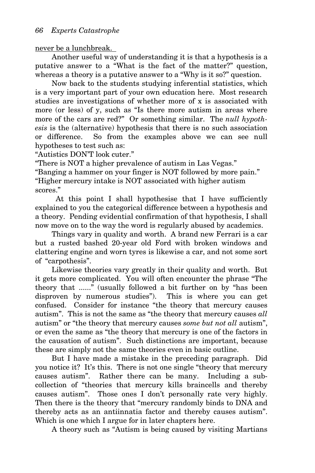never be a lunchbreak.

Another useful way of understanding it is that a hypothesis is a putative answer to a "What is the fact of the matter?" question, whereas a theory is a putative answer to a "Why is it so?" question.

Now back to the students studying inferential statistics, which is a very important part of your own education here. Most research studies are investigations of whether more of x is associated with more (or less) of y, such as "Is there more autism in areas where more of the cars are red?" Or something similar. The *null hypothesis* is the (alternative) hypothesis that there is no such association or difference. So from the examples above we can see null hypotheses to test such as:

"Autistics DON'T look cuter."

"There is NOT a higher prevalence of autism in Las Vegas."

"Banging a hammer on your finger is NOT followed by more pain." "Higher mercury intake is NOT associated with higher autism scores."

 At this point I shall hypothesise that I have sufficiently explained to you the categorical difference between a hypothesis and a theory. Pending evidential confirmation of that hypothesis, I shall now move on to the way the word is regularly abused by academics.

Things vary in quality and worth. A brand new Ferrari is a car but a rusted bashed 20-year old Ford with broken windows and clattering engine and worn tyres is likewise a car, and not some sort of "carpothesis".

Likewise theories vary greatly in their quality and worth. But it gets more complicated. You will often encounter the phrase "The theory that ......" (usually followed a bit further on by "has been disproven by numerous studies"). This is where you can get confused. Consider for instance "the theory that mercury causes autism". This is not the same as "the theory that mercury causes *all* autism" or "the theory that mercury causes *some but not all* autism", or even the same as "the theory that mercury is one of the factors in the causation of autism". Such distinctions are important, because these are simply not the same theories even in basic outline.

But I have made a mistake in the preceding paragraph. Did you notice it? It's this. There is not one single "theory that mercury causes autism". Rather there can be many. Including a subcollection of "theories that mercury kills braincells and thereby causes autism". Those ones I don't personally rate very highly. Then there is the theory that "mercury randomly binds to DNA and thereby acts as an antiinnatia factor and thereby causes autism". Which is one which I argue for in later chapters here.

A theory such as "Autism is being caused by visiting Martians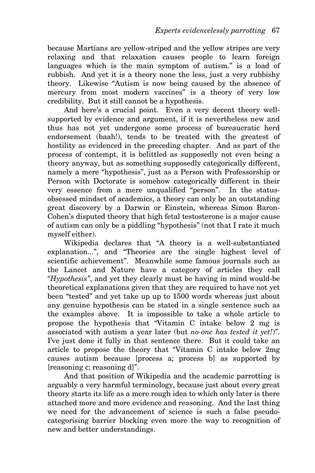because Martians are yellow-striped and the yellow stripes are very relaxing and that relaxation causes people to learn foreign languages which is the main symptom of autism." is a load of rubbish. And yet it is a theory none the less, just a very rubbishy theory. Likewise "Autism is now being caused by the absence of mercury from most modern vaccines" is a theory of very low credibility. But it still cannot be a hypothesis.

And here's a crucial point. Even a very decent theory wellsupported by evidence and argument, if it is nevertheless new and thus has not yet undergone some process of bureaucratic herd endorsement (baah!), tends to be treated with the greatest of hostility as evidenced in the preceding chapter. And as part of the process of contempt, it is belittled as supposedly not even being a theory anyway, but as something supposedly categorically different, namely a mere "hypothesis", just as a Person with Professorship or Person with Doctorate is somehow categorically different in their very essence from a mere unqualified "person". In the statusobsessed mindset of academics, a theory can only be an outstanding great discovery by a Darwin or Einstein, whereas Simon Baron-Cohen's disputed theory that high fetal testosterone is a major cause of autism can only be a piddling "hypothesis" (not that I rate it much myself either).

Wikipedia declares that "A theory is a well-substantiated explanation...", and "Theories are the single highest level of scientific achievement". Meanwhile some famous journals such as the Lancet and Nature have a category of articles they call *"Hypothesis"*, and yet they clearly must be having in mind would-be theoretical explanations given that they are required to have not yet been "tested" and yet take up up to 1500 words whereas just about any genuine hypothesis can be stated in a single sentence such as the examples above. It is impossible to take a whole article to propose the hypothesis that "Vitamin C intake below 2 mg is associated with autism a year later (but *no-one has tested it yet!*)". I've just done it fully in that sentence there. But it could take an article to propose the theory that "Vitamin C intake below 2mg causes autism because [process a; process b] as supported by [reasoning c; reasoning d]".

And that position of Wikipedia and the academic parrotting is arguably a very harmful terminology, because just about every great theory starts its life as a mere rough idea to which only later is there attached more and more evidence and reasoning. And the last thing we need for the advancement of science is such a false pseudocategorising barrier blocking even more the way to recognition of new and better understandings.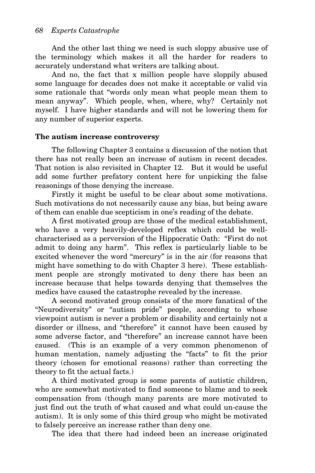And the other last thing we need is such sloppy abusive use of the terminology which makes it all the harder for readers to accurately understand what writers are talking about.

And no, the fact that x million people have sloppily abused some language for decades does not make it acceptable or valid via some rationale that "words only mean what people mean them to mean anyway". Which people, when, where, why? Certainly not myself. I have higher standards and will not be lowering them for any number of superior experts.

## **The autism increase controversy**

The following Chapter 3 contains a discussion of the notion that there has not really been an increase of autism in recent decades. That notion is also revisited in Chapter 12. But it would be useful add some further prefatory content here for unpicking the false reasonings of those denying the increase.

Firstly it might be useful to be clear about some motivations. Such motivations do not necessarily cause any bias, but being aware of them can enable due scepticism in one's reading of the debate.

A first motivated group are those of the medical establishment, who have a very heavily-developed reflex which could be wellcharacterised as a perversion of the Hippocratic Oath: "First do not admit to doing any harm". This reflex is particularly liable to be excited whenever the word "mercury" is in the air (for reasons that might have something to do with Chapter 3 here). These establishment people are strongly motivated to deny there has been an increase because that helps towards denying that themselves the medics have caused the catastrophe revealed by the increase.

A second motivated group consists of the more fanatical of the "Neurodiversity" or "autism pride" people, according to whose viewpoint autism is never a problem or disability and certainly not a disorder or illness, and "therefore" it cannot have been caused by some adverse factor, and "therefore" an increase cannot have been caused. (This is an example of a very common phenomenon of human mentation, namely adjusting the "facts" to fit the prior theory (chosen for emotional reasons) rather than correcting the theory to fit the actual facts.)

A third motivated group is some parents of autistic children, who are somewhat motivated to find someone to blame and to seek compensation from (though many parents are more motivated to just find out the truth of what caused and what could un-cause the autism). It is only some of this third group who might be motivated to falsely perceive an increase rather than deny one.

The idea that there had indeed been an increase originated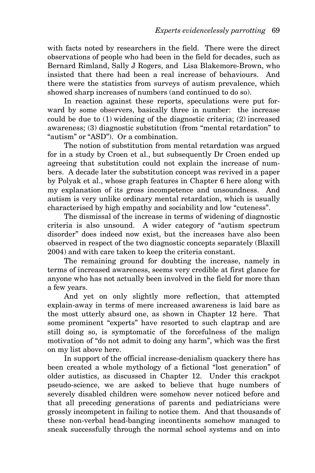with facts noted by researchers in the field. There were the direct observations of people who had been in the field for decades, such as Bernard Rimland, Sally J Rogers, and Lisa Blakemore-Brown, who insisted that there had been a real increase of behaviours. And there were the statistics from surveys of autism prevalence, which showed sharp increases of numbers (and continued to do so).

In reaction against these reports, speculations were put forward by some observers, basically three in number: the increase could be due to (1) widening of the diagnostic criteria; (2) increased awareness; (3) diagnostic substitution (from "mental retardation" to "autism" or "ASD"). Or a combination.

The notion of substitution from mental retardation was argued for in a study by Croen et al., but subsequently Dr Croen ended up agreeing that substitution could not explain the increase of numbers. A decade later the substitution concept was revived in a paper by Polyak et al., whose graph features in Chapter 6 here along with my explanation of its gross incompetence and unsoundness. And autism is very unlike ordinary mental retardation, which is usually characterised by high empathy and sociability and low "cuteness".

The dismissal of the increase in terms of widening of diagnostic criteria is also unsound. A wider category of "autism spectrum disorder" does indeed now exist, but the increases have also been observed in respect of the two diagnostic concepts separately (Blaxill 2004) and with care taken to keep the criteria constant.

The remaining ground for doubting the increase, namely in terms of increased awareness, seems very credible at first glance for anyone who has not actually been involved in the field for more than a few years.

And yet on only slightly more reflection, that attempted explain-away in terms of mere increased awareness is laid bare as the most utterly absurd one, as shown in Chapter 12 here. That some prominent "experts" have resorted to such claptrap and are still doing so, is symptomatic of the forcefulness of the malign motivation of "do not admit to doing any harm", which was the first on my list above here.

In support of the official increase-denialism quackery there has been created a whole mythology of a fictional "lost generation" of older autistics, as discussed in Chapter 12. Under this crackpot pseudo-science, we are asked to believe that huge numbers of severely disabled children were somehow never noticed before and that all preceding generations of parents and pediatricians were grossly incompetent in failing to notice them. And that thousands of these non-verbal head-banging incontinents somehow managed to sneak successfully through the normal school systems and on into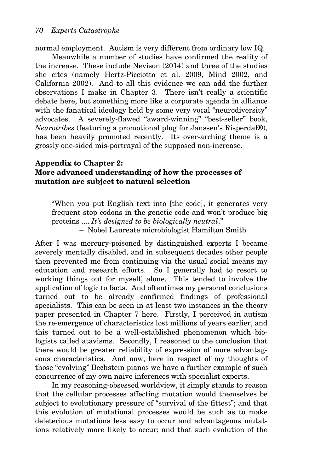normal employment. Autism is very different from ordinary low IQ.

Meanwhile a number of studies have confirmed the reality of the increase. These include Nevison (2014) and three of the studies she cites (namely Hertz-Picciotto et al. 2009, Mind 2002, and California 2002). And to all this evidence we can add the further observations I make in Chapter 3. There isn't really a scientific debate here, but something more like a corporate agenda in alliance with the fanatical ideology held by some very vocal "neurodiversity" advocates. A severely-flawed "award-winning" "best-seller" book, *Neurotribes* (featuring a promotional plug for Janssen's Risperdal®), has been heavily promoted recently. Its over-arching theme is a grossly one-sided mis-portrayal of the supposed non-increase.

## **Appendix to Chapter 2: More advanced understanding of how the processes of mutation are subject to natural selection**

"When you put English text into [the code], it generates very frequent stop codons in the genetic code and won't produce big proteins .... *It's designed to be biologically neutral*." – Nobel Laureate microbiologist Hamilton Smith

After I was mercury-poisoned by distinguished experts I became severely mentally disabled, and in subsequent decades other people then prevented me from continuing via the usual social means my education and research efforts. So I generally had to resort to working things out for myself, alone. This tended to involve the application of logic to facts. And oftentimes my personal conclusions turned out to be already confirmed findings of professional specialists. This can be seen in at least two instances in the theory paper presented in Chapter 7 here. Firstly, I perceived in autism the re-emergence of characteristics lost millions of years earlier, and this turned out to be a well-established phenomenon which biologists called atavisms. Secondly, I reasoned to the conclusion that there would be greater reliability of expression of more advantageous characteristics. And now, here in respect of my thoughts of those "evolving" Bechstein pianos we have a further example of such concurrence of my own naive inferences with specialist experts.

In my reasoning-obsessed worldview, it simply stands to reason that the cellular processes affecting mutation would themselves be subject to evolutionary pressure of "survival of the fittest"; and that this evolution of mutational processes would be such as to make deleterious mutations less easy to occur and advantageous mutations relatively more likely to occur; and that such evolution of the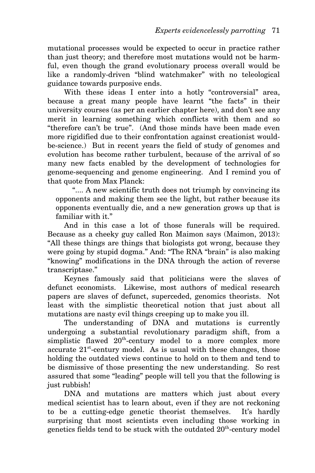mutational processes would be expected to occur in practice rather than just theory; and therefore most mutations would not be harmful, even though the grand evolutionary process overall would be like a randomly-driven "blind watchmaker" with no teleological guidance towards purposive ends.

With these ideas I enter into a hotly "controversial" area, because a great many people have learnt "the facts" in their university courses (as per an earlier chapter here), and don't see any merit in learning something which conflicts with them and so "therefore can't be true". (And those minds have been made even more rigidified due to their confrontation against creationist wouldbe-science.) But in recent years the field of study of genomes and evolution has become rather turbulent, because of the arrival of so many new facts enabled by the development of technologies for genome-sequencing and genome engineering. And I remind you of that quote from Max Planck:

".... A new scientific truth does not triumph by convincing its opponents and making them see the light, but rather because its opponents eventually die, and a new generation grows up that is familiar with it."

And in this case a lot of those funerals will be required. Because as a cheeky guy called Ron Maimon says (Maimon, 2013): "All these things are things that biologists got wrong, because they were going by stupid dogma." And: "The RNA "brain" is also making "knowing" modifications in the DNA through the action of reverse transcriptase."

Keynes famously said that politicians were the slaves of defunct economists. Likewise, most authors of medical research papers are slaves of defunct, superceded, genomics theorists. Not least with the simplistic theoretical notion that just about all mutations are nasty evil things creeping up to make you ill.

The understanding of DNA and mutations is currently undergoing a substantial revolutionary paradigm shift, from a simplistic flawed  $20^{\text{th}}$ -century model to a more complex more accurate  $21^{st}$ -century model. As is usual with these changes, those holding the outdated views continue to hold on to them and tend to be dismissive of those presenting the new understanding. So rest assured that some "leading" people will tell you that the following is just rubbish!

DNA and mutations are matters which just about every medical scientist has to learn about, even if they are not reckoning to be a cutting-edge genetic theorist themselves. It's hardly surprising that most scientists even including those working in genetics fields tend to be stuck with the outdated  $20^{\text{th}}$ -century model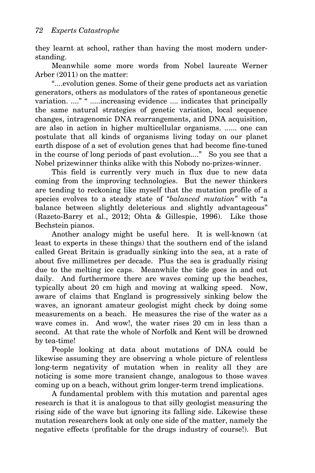they learnt at school, rather than having the most modern understanding.

Meanwhile some more words from Nobel laureate Werner Arber (2011) on the matter:

"....evolution genes. Some of their gene products act as variation generators, others as modulators of the rates of spontaneous genetic variation. ...." " .....increasing evidence .... indicates that principally the same natural strategies of genetic variation, local sequence changes, intragenomic DNA rearrangements, and DNA acquisition, are also in action in higher multicellular organisms. ...... one can postulate that all kinds of organisms living today on our planet earth dispose of a set of evolution genes that had become fine-tuned in the course of long periods of past evolution...." So you see that a Nobel prizewinner thinks alike with this Nobody no-prizes-winner.

This field is currently very much in flux due to new data coming from the improving technologies. But the newer thinkers are tending to reckoning like myself that the mutation profile of a species evolves to a steady state of *"balanced mutation"* with "a balance between slightly deleterious and slightly advantageous" (Razeto-Barry et al., 2012; Ohta & Gillespie, 1996). Like those Bechstein pianos.

Another analogy might be useful here. It is well-known (at least to experts in these things) that the southern end of the island called Great Britain is gradually sinking into the sea, at a rate of about five millimetres per decade. Plus the sea is gradually rising due to the melting ice caps. Meanwhile the tide goes in and out daily. And furthermore there are waves coming up the beaches, typically about 20 cm high and moving at walking speed. Now, aware of claims that England is progressively sinking below the waves, an ignorant amateur geologist might check by doing some measurements on a beach. He measures the rise of the water as a wave comes in. And wow!, the water rises 20 cm in less than a second. At that rate the whole of Norfolk and Kent will be drowned by tea-time!

People looking at data about mutations of DNA could be likewise assuming they are observing a whole picture of relentless long-term negativity of mutation when in reality all they are noticing is some more transient change, analogous to those waves coming up on a beach, without grim longer-term trend implications.

A fundamental problem with this mutation and parental ages research is that it is analogous to that silly geologist measuring the rising side of the wave but ignoring its falling side. Likewise these mutation researchers look at only one side of the matter, namely the negative effects (profitable for the drugs industry of course!). But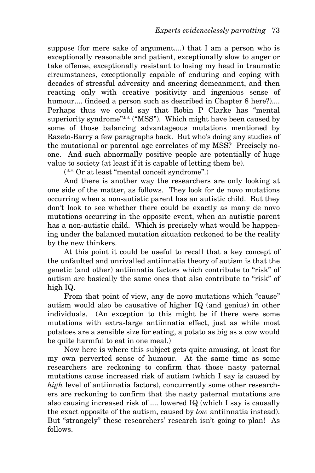suppose (for mere sake of argument....) that I am a person who is exceptionally reasonable and patient, exceptionally slow to anger or take offense, exceptionally resistant to losing my head in traumatic circumstances, exceptionally capable of enduring and coping with decades of stressful adversity and sneering demeanment, and then reacting only with creative positivity and ingenious sense of humour.... (indeed a person such as described in Chapter 8 here?).... Perhaps thus we could say that Robin P Clarke has "mental superiority syndrome"\*\* ("MSS"). Which might have been caused by some of those balancing advantageous mutations mentioned by Razeto-Barry a few paragraphs back. But who's doing any studies of the mutational or parental age correlates of my MSS? Precisely noone. And such abnormally positive people are potentially of huge value to society (at least if it is capable of letting them be).

(\*\* Or at least "mental conceit syndrome".)

And there is another way the researchers are only looking at one side of the matter, as follows. They look for de novo mutations occurring when a non-autistic parent has an autistic child. But they don't look to see whether there could be exactly as many de novo mutations occurring in the opposite event, when an autistic parent has a non-autistic child. Which is precisely what would be happening under the balanced mutation situation reckoned to be the reality by the new thinkers.

At this point it could be useful to recall that a key concept of the unfaulted and unrivalled antiinnatia theory of autism is that the genetic (and other) antiinnatia factors which contribute to "risk" of autism are basically the same ones that also contribute to "risk" of high IQ.

From that point of view, any de novo mutations which "cause" autism would also be causative of higher IQ (and genius) in other individuals. (An exception to this might be if there were some mutations with extra-large antiinnatia effect, just as while most potatoes are a sensible size for eating, a potato as big as a cow would be quite harmful to eat in one meal.)

Now here is where this subject gets quite amusing, at least for my own perverted sense of humour. At the same time as some researchers are reckoning to confirm that those nasty paternal mutations cause increased risk of autism (which I say is caused by *high* level of antiinnatia factors), concurrently some other researchers are reckoning to confirm that the nasty paternal mutations are also causing increased risk of .... lowered IQ (which I say is causally the exact opposite of the autism, caused by *low* antiinnatia instead). But "strangely" these researchers' research isn't going to plan! As follows.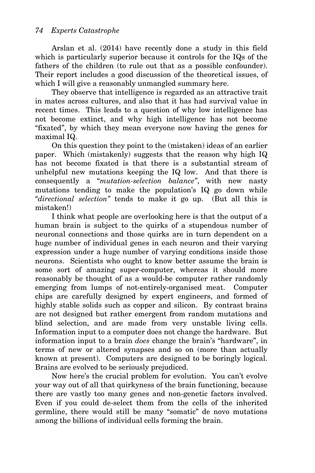Arslan et al. (2014) have recently done a study in this field which is particularly superior because it controls for the IQs of the fathers of the children (to rule out that as a possible confounder). Their report includes a good discussion of the theoretical issues, of which I will give a reasonably unmangled summary here.

They observe that intelligence is regarded as an attractive trait in mates across cultures, and also that it has had survival value in recent times. This leads to a question of why low intelligence has not become extinct, and why high intelligence has not become "fixated", by which they mean everyone now having the genes for maximal IQ.

On this question they point to the (mistaken) ideas of an earlier paper. Which (mistakenly) suggests that the reason why high IQ has not become fixated is that there is a substantial stream of unhelpful new mutations keeping the IQ low. And that there is consequently a "*mutation-selection balance"*, with new nasty mutations tending to make the population's IQ go down while *"directional selection"* tends to make it go up. (But all this is mistaken!)

I think what people are overlooking here is that the output of a human brain is subject to the quirks of a stupendous number of neuronal connections and those quirks are in turn dependent on a huge number of individual genes in each neuron and their varying expression under a huge number of varying conditions inside those neurons. Scientists who ought to know better assume the brain is some sort of amazing super-computer, whereas it should more reasonably be thought of as a would-be computer rather randomly emerging from lumps of not-entirely-organised meat. Computer chips are carefully designed by expert engineers, and formed of highly stable solids such as copper and silicon. By contrast brains are not designed but rather emergent from random mutations and blind selection, and are made from very unstable living cells. Information input to a computer does not change the hardware. But information input to a brain *does* change the brain's "hardware", in terms of new or altered synapses and so on (more than actually known at present). Computers are designed to be boringly logical. Brains are evolved to be seriously prejudiced.

Now here's the crucial problem for evolution. You can't evolve your way out of all that quirkyness of the brain functioning, because there are vastly too many genes and non-genetic factors involved. Even if you could de-select them from the cells of the inherited germline, there would still be many "somatic" de novo mutations among the billions of individual cells forming the brain.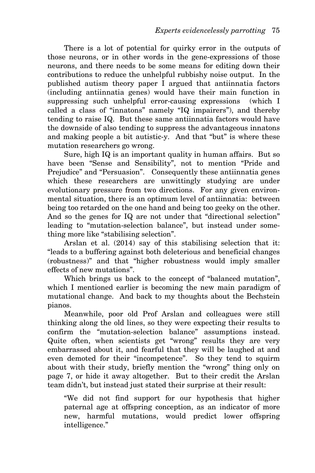There is a lot of potential for quirky error in the outputs of those neurons, or in other words in the gene-expressions of those neurons, and there needs to be some means for editing down their contributions to reduce the unhelpful rubbishy noise output. In the published autism theory paper I argued that antiinnatia factors (including antiinnatia genes) would have their main function in suppressing such unhelpful error-causing expressions (which I called a class of "innatons" namely "IQ impairers"), and thereby tending to raise IQ. But these same antiinnatia factors would have the downside of also tending to suppress the advantageous innatons and making people a bit autistic-y. And that "but" is where these mutation researchers go wrong.

Sure, high IQ is an important quality in human affairs. But so have been "Sense and Sensibility", not to mention "Pride and Prejudice" and "Persuasion". Consequently these antiinnatia genes which these researchers are unwittingly studying are under evolutionary pressure from two directions. For any given environmental situation, there is an optimum level of antiinnatia: between being too retarded on the one hand and being too geeky on the other. And so the genes for IQ are not under that "directional selection" leading to "mutation-selection balance", but instead under something more like "stabilising selection".

Arslan et al. (2014) say of this stabilising selection that it: "leads to a buffering against both deleterious and beneficial changes (robustness)" and that "higher robustness would imply smaller effects of new mutations".

Which brings us back to the concept of "balanced mutation", which I mentioned earlier is becoming the new main paradigm of mutational change. And back to my thoughts about the Bechstein pianos.

Meanwhile, poor old Prof Arslan and colleagues were still thinking along the old lines, so they were expecting their results to confirm the *"*mutation-selection balance" assumptions instead. Quite often, when scientists get "wrong" results they are very embarrassed about it, and fearful that they will be laughed at and even demoted for their "incompetence". So they tend to squirm about with their study, briefly mention the "wrong" thing only on page 7, or hide it away altogether. But to their credit the Arslan team didn't, but instead just stated their surprise at their result:

"We did not find support for our hypothesis that higher paternal age at offspring conception, as an indicator of more new, harmful mutations, would predict lower offspring intelligence."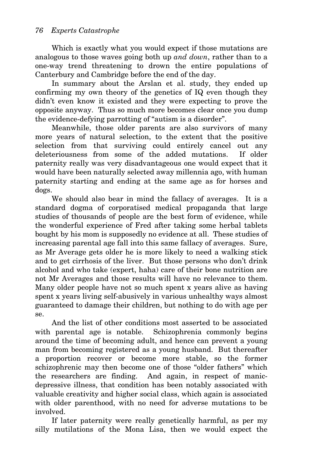Which is exactly what you would expect if those mutations are analogous to those waves going both up *and down*, rather than to a one-way trend threatening to drown the entire populations of Canterbury and Cambridge before the end of the day.

In summary about the Arslan et al. study, they ended up confirming my own theory of the genetics of IQ even though they didn't even know it existed and they were expecting to prove the opposite anyway. Thus so much more becomes clear once you dump the evidence-defying parrotting of "autism is a disorder".

Meanwhile, those older parents are also survivors of many more years of natural selection, to the extent that the positive selection from that surviving could entirely cancel out any deleteriousness from some of the added mutations. If older paternity really was very disadvantageous one would expect that it would have been naturally selected away millennia ago, with human paternity starting and ending at the same age as for horses and dogs.

We should also bear in mind the fallacy of averages. It is a standard dogma of corporatised medical propaganda that large studies of thousands of people are the best form of evidence, while the wonderful experience of Fred after taking some herbal tablets bought by his mom is supposedly no evidence at all. These studies of increasing parental age fall into this same fallacy of averages. Sure, as Mr Average gets older he is more likely to need a walking stick and to get cirrhosis of the liver. But those persons who don't drink alcohol and who take (expert, haha) care of their bone nutrition are not Mr Averages and those results will have no relevance to them. Many older people have not so much spent x years alive as having spent x years living self-abusively in various unhealthy ways almost guaranteed to damage their children, but nothing to do with age per se.

And the list of other conditions most asserted to be associated with parental age is notable. Schizophrenia commonly begins around the time of becoming adult, and hence can prevent a young man from becoming registered as a young husband. But thereafter a proportion recover or become more stable, so the former schizophrenic may then become one of those "older fathers" which the researchers are finding. And again, in respect of manicdepressive illness, that condition has been notably associated with valuable creativity and higher social class, which again is associated with older parenthood, with no need for adverse mutations to be involved.

If later paternity were really genetically harmful, as per my silly mutilations of the Mona Lisa, then we would expect the